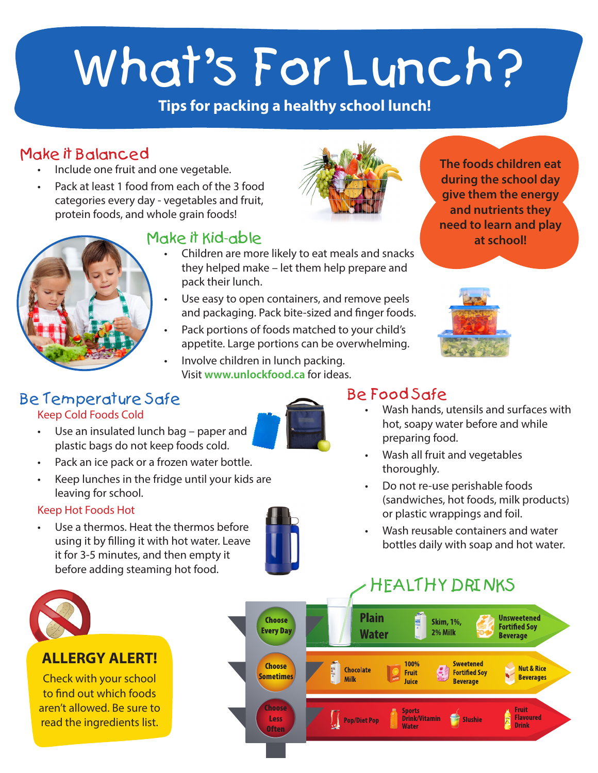# What's For Lunch?

## **Tips for packing a healthy school lunch!**

## Make it Balanced

- Include one fruit and one vegetable.
- Pack at least 1 food from each of the 3 food categories every day - vegetables and fruit, protein foods, and whole grain foods!

## Make it Kid-able

- Children are more likely to eat meals and snacks they helped make – let them help prepare and pack their lunch.
- Use easy to open containers, and remove peels and packaging. Pack bite-sized and finger foods.
- Pack portions of foods matched to your child's appetite. Large portions can be overwhelming.
- Involve children in lunch packing. Visit **www.unlockfood.ca** for ideas.







## Be Food Safe

- Wash hands, utensils and surfaces with hot, soapy water before and while preparing food.
- Wash all fruit and vegetables thoroughly.
- Do not re-use perishable foods (sandwiches, hot foods, milk products) or plastic wrappings and foil.
- Wash reusable containers and water bottles daily with soap and hot water.

# HEALTHY DRINKS





## Be Temperature Safe

Keep Cold Foods Cold

- Use an insulated lunch bag paper and plastic bags do not keep foods cold.
- Pack an ice pack or a frozen water bottle.
- Keep lunches in the fridge until your kids are leaving for school.

## Keep Hot Foods Hot

Use a thermos. Heat the thermos before using it by filling it with hot water. Leave it for 3-5 minutes, and then empty it before adding steaming hot food.



## **ALLERGY ALERT!**

Check with your school to find out which foods aren't allowed. Be sure to read the ingredients list.